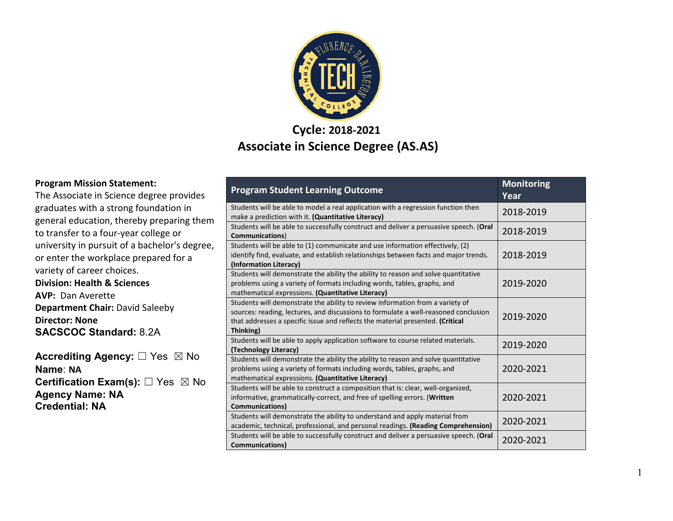

#### **Cycle: 2018-2021 Associate in Science Degree (AS.AS)**

#### **Program Mission Statement:**

The Associate in Science degree provides graduates with a strong foundation in general education, thereby preparing them to transfer to a four-year college or university in pursuit of a bachelor's degree, or enter the workplace prepared for a variety of career choices.

**Division: Health & Sciences AVP:** Dan Averette **Department Chair:** David Saleeby **Director: None SACSCOC Standard:** 8.2A

**Accrediting Agency:** ☐ Yes ☒ No **Name**: **NA Certification Exam(s):** □ Yes ⊠ No **Agency Name: NA Credential: NA**

| <b>Program Student Learning Outcome</b>                                                                                                                                                                                                                             | <b>Monitoring</b><br>Year |
|---------------------------------------------------------------------------------------------------------------------------------------------------------------------------------------------------------------------------------------------------------------------|---------------------------|
| Students will be able to model a real application with a regression function then<br>make a prediction with it. (Quantitative Literacy)                                                                                                                             | 2018-2019                 |
| Students will be able to successfully construct and deliver a persuasive speech. (Oral<br>Communications)                                                                                                                                                           | 2018-2019                 |
| Students will be able to (1) communicate and use information effectively, (2)<br>identify find, evaluate, and establish relationships between facts and major trends.<br>(Information Literacy)                                                                     | 2018-2019                 |
| Students will demonstrate the ability the ability to reason and solve quantitative<br>problems using a variety of formats including words, tables, graphs, and<br>mathematical expressions. (Quantitative Literacy)                                                 | 2019-2020                 |
| Students will demonstrate the ability to review information from a variety of<br>sources: reading, lectures, and discussions to formulate a well-reasoned conclusion<br>that addresses a specific issue and reflects the material presented. (Critical<br>Thinking) | 2019-2020                 |
| Students will be able to apply application software to course related materials.<br>(Technology Literacy)                                                                                                                                                           | 2019-2020                 |
| Students will demonstrate the ability the ability to reason and solve quantitative<br>problems using a variety of formats including words, tables, graphs, and<br>mathematical expressions. (Quantitative Literacy)                                                 | 2020-2021                 |
| Students will be able to construct a composition that is: clear, well-organized,<br>informative, grammatically-correct, and free of spelling errors. (Written<br><b>Communications)</b>                                                                             | 2020-2021                 |
| Students will demonstrate the ability to understand and apply material from<br>academic, technical, professional, and personal readings. (Reading Comprehension)                                                                                                    | 2020-2021                 |
| Students will be able to successfully construct and deliver a persuasive speech. (Oral<br><b>Communications</b> )                                                                                                                                                   | 2020-2021                 |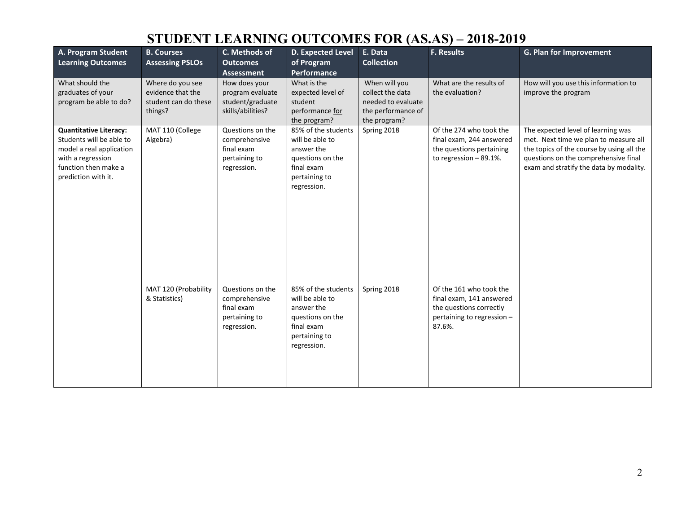| A. Program Student<br><b>Learning Outcomes</b>                                                                                                            | <b>B. Courses</b><br><b>Assessing PSLOs</b>                              | C. Methods of<br><b>Outcomes</b><br><b>Assessment</b>                           | D. Expected Level<br>of Program<br>Performance                                                                         | E. Data<br><b>Collection</b>                                                                  | F. Results                                                                                                             | G. Plan for Improvement                                                                                                                                                                                     |
|-----------------------------------------------------------------------------------------------------------------------------------------------------------|--------------------------------------------------------------------------|---------------------------------------------------------------------------------|------------------------------------------------------------------------------------------------------------------------|-----------------------------------------------------------------------------------------------|------------------------------------------------------------------------------------------------------------------------|-------------------------------------------------------------------------------------------------------------------------------------------------------------------------------------------------------------|
| What should the<br>graduates of your<br>program be able to do?                                                                                            | Where do you see<br>evidence that the<br>student can do these<br>things? | How does your<br>program evaluate<br>student/graduate<br>skills/abilities?      | What is the<br>expected level of<br>student<br>performance for<br>the program?                                         | When will you<br>collect the data<br>needed to evaluate<br>the performance of<br>the program? | What are the results of<br>the evaluation?                                                                             | How will you use this information to<br>improve the program                                                                                                                                                 |
| <b>Quantitative Literacy:</b><br>Students will be able to<br>model a real application<br>with a regression<br>function then make a<br>prediction with it. | MAT 110 (College<br>Algebra)                                             | Questions on the<br>comprehensive<br>final exam<br>pertaining to<br>regression. | 85% of the students<br>will be able to<br>answer the<br>questions on the<br>final exam<br>pertaining to<br>regression. | Spring 2018                                                                                   | Of the 274 who took the<br>final exam, 244 answered<br>the questions pertaining<br>to regression $-89.1\%$ .           | The expected level of learning was<br>met. Next time we plan to measure all<br>the topics of the course by using all the<br>questions on the comprehensive final<br>exam and stratify the data by modality. |
|                                                                                                                                                           | MAT 120 (Probability<br>& Statistics)                                    | Questions on the<br>comprehensive<br>final exam<br>pertaining to<br>regression. | 85% of the students<br>will be able to<br>answer the<br>questions on the<br>final exam<br>pertaining to<br>regression. | Spring 2018                                                                                   | Of the 161 who took the<br>final exam, 141 answered<br>the questions correctly<br>pertaining to regression -<br>87.6%. |                                                                                                                                                                                                             |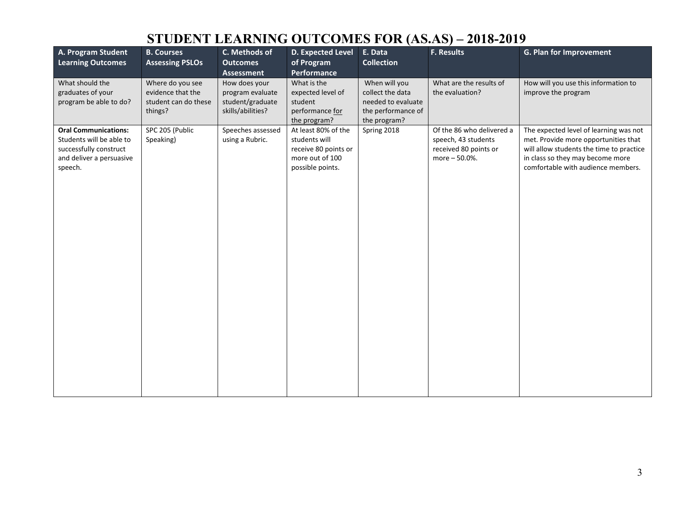| A. Program Student<br><b>Learning Outcomes</b>                                                                           | <b>B. Courses</b><br><b>Assessing PSLOs</b>                              | C. Methods of<br><b>Outcomes</b><br><b>Assessment</b>                      | D. Expected Level<br>of Program<br>Performance                                                      | E. Data<br><b>Collection</b>                                                                  | <b>F. Results</b>                                                                          | G. Plan for Improvement                                                                                                                                                                              |
|--------------------------------------------------------------------------------------------------------------------------|--------------------------------------------------------------------------|----------------------------------------------------------------------------|-----------------------------------------------------------------------------------------------------|-----------------------------------------------------------------------------------------------|--------------------------------------------------------------------------------------------|------------------------------------------------------------------------------------------------------------------------------------------------------------------------------------------------------|
| What should the<br>graduates of your<br>program be able to do?                                                           | Where do you see<br>evidence that the<br>student can do these<br>things? | How does your<br>program evaluate<br>student/graduate<br>skills/abilities? | What is the<br>expected level of<br>student<br>performance for<br>the program?                      | When will you<br>collect the data<br>needed to evaluate<br>the performance of<br>the program? | What are the results of<br>the evaluation?                                                 | How will you use this information to<br>improve the program                                                                                                                                          |
| <b>Oral Communications:</b><br>Students will be able to<br>successfully construct<br>and deliver a persuasive<br>speech. | SPC 205 (Public<br>Speaking)                                             | Speeches assessed<br>using a Rubric.                                       | At least 80% of the<br>students will<br>receive 80 points or<br>more out of 100<br>possible points. | Spring 2018                                                                                   | Of the 86 who delivered a<br>speech, 43 students<br>received 80 points or<br>more - 50.0%. | The expected level of learning was not<br>met. Provide more opportunities that<br>will allow students the time to practice<br>in class so they may become more<br>comfortable with audience members. |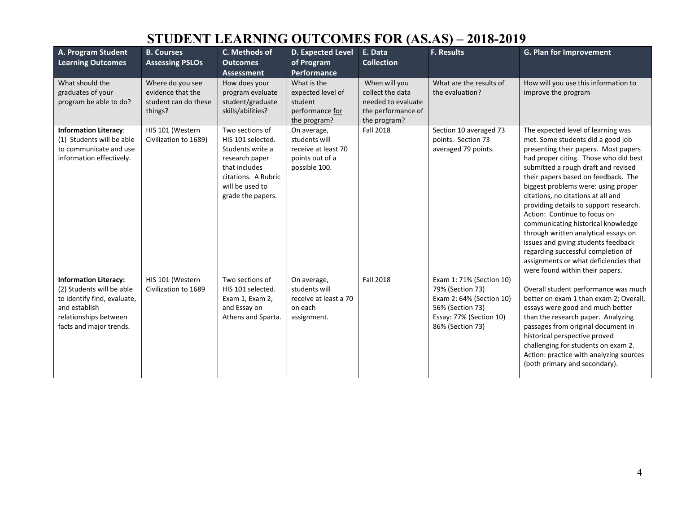| A. Program Student<br><b>Learning Outcomes</b>                                                                                                                | <b>B. Courses</b><br><b>Assessing PSLOs</b>                              | C. Methods of<br><b>Outcomes</b>                                                                                                                           | D. Expected Level<br>of Program                                                         | E. Data<br><b>Collection</b>                                                                  | <b>F. Results</b>                                                                                                                           | G. Plan for Improvement                                                                                                                                                                                                                                                                                                                                                                                                                                                                                                                                                                                                              |
|---------------------------------------------------------------------------------------------------------------------------------------------------------------|--------------------------------------------------------------------------|------------------------------------------------------------------------------------------------------------------------------------------------------------|-----------------------------------------------------------------------------------------|-----------------------------------------------------------------------------------------------|---------------------------------------------------------------------------------------------------------------------------------------------|--------------------------------------------------------------------------------------------------------------------------------------------------------------------------------------------------------------------------------------------------------------------------------------------------------------------------------------------------------------------------------------------------------------------------------------------------------------------------------------------------------------------------------------------------------------------------------------------------------------------------------------|
|                                                                                                                                                               |                                                                          | <b>Assessment</b>                                                                                                                                          | <b>Performance</b>                                                                      |                                                                                               |                                                                                                                                             |                                                                                                                                                                                                                                                                                                                                                                                                                                                                                                                                                                                                                                      |
| What should the<br>graduates of your<br>program be able to do?                                                                                                | Where do you see<br>evidence that the<br>student can do these<br>things? | How does your<br>program evaluate<br>student/graduate<br>skills/abilities?                                                                                 | What is the<br>expected level of<br>student<br>performance for<br>the program?          | When will you<br>collect the data<br>needed to evaluate<br>the performance of<br>the program? | What are the results of<br>the evaluation?                                                                                                  | How will you use this information to<br>improve the program                                                                                                                                                                                                                                                                                                                                                                                                                                                                                                                                                                          |
| <b>Information Literacy:</b><br>(1) Students will be able<br>to communicate and use<br>information effectively.                                               | HIS 101 (Western<br>Civilization to 1689)                                | Two sections of<br>HIS 101 selected.<br>Students write a<br>research paper<br>that includes<br>citations. A Rubric<br>will be used to<br>grade the papers. | On average,<br>students will<br>receive at least 70<br>points out of a<br>possible 100. | <b>Fall 2018</b>                                                                              | Section 10 averaged 73<br>points. Section 73<br>averaged 79 points.                                                                         | The expected level of learning was<br>met. Some students did a good job<br>presenting their papers. Most papers<br>had proper citing. Those who did best<br>submitted a rough draft and revised<br>their papers based on feedback. The<br>biggest problems were: using proper<br>citations, no citations at all and<br>providing details to support research.<br>Action: Continue to focus on<br>communicating historical knowledge<br>through written analytical essays on<br>issues and giving students feedback<br>regarding successful completion of<br>assignments or what deficiencies that<br>were found within their papers. |
| <b>Information Literacy:</b><br>(2) Students will be able<br>to identify find, evaluate,<br>and establish<br>relationships between<br>facts and major trends. | HIS 101 (Western<br>Civilization to 1689                                 | Two sections of<br>HIS 101 selected.<br>Exam 1, Exam 2,<br>and Essay on<br>Athens and Sparta.                                                              | On average,<br>students will<br>receive at least a 70<br>on each<br>assignment.         | <b>Fall 2018</b>                                                                              | Exam 1: 71% (Section 10)<br>79% (Section 73)<br>Exam 2: 64% (Section 10)<br>56% (Section 73)<br>Essay: 77% (Section 10)<br>86% (Section 73) | Overall student performance was much<br>better on exam 1 than exam 2; Overall,<br>essays were good and much better<br>than the research paper. Analyzing<br>passages from original document in<br>historical perspective proved<br>challenging for students on exam 2.<br>Action: practice with analyzing sources<br>(both primary and secondary).                                                                                                                                                                                                                                                                                   |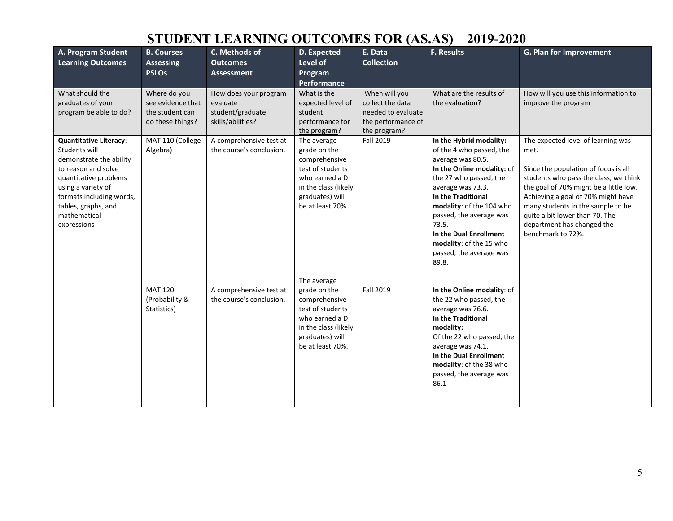| A. Program Student<br><b>Learning Outcomes</b>                                                                                                                                                                                    | <b>B. Courses</b><br><b>Assessing</b><br><b>PSLOs</b>                    | C. Methods of<br><b>Outcomes</b><br>Assessment                             | D. Expected<br>Level of<br>Program<br><b>Performance</b>                                                                                          | E. Data<br><b>Collection</b>                                                                  | F. Results                                                                                                                                                                                                                                                                                                                           | G. Plan for Improvement                                                                                                                                                                                                                                                                                                               |
|-----------------------------------------------------------------------------------------------------------------------------------------------------------------------------------------------------------------------------------|--------------------------------------------------------------------------|----------------------------------------------------------------------------|---------------------------------------------------------------------------------------------------------------------------------------------------|-----------------------------------------------------------------------------------------------|--------------------------------------------------------------------------------------------------------------------------------------------------------------------------------------------------------------------------------------------------------------------------------------------------------------------------------------|---------------------------------------------------------------------------------------------------------------------------------------------------------------------------------------------------------------------------------------------------------------------------------------------------------------------------------------|
| What should the<br>graduates of your<br>program be able to do?                                                                                                                                                                    | Where do you<br>see evidence that<br>the student can<br>do these things? | How does your program<br>evaluate<br>student/graduate<br>skills/abilities? | What is the<br>expected level of<br>student<br>performance for<br>the program?                                                                    | When will you<br>collect the data<br>needed to evaluate<br>the performance of<br>the program? | What are the results of<br>the evaluation?                                                                                                                                                                                                                                                                                           | How will you use this information to<br>improve the program                                                                                                                                                                                                                                                                           |
| <b>Quantitative Literacy:</b><br>Students will<br>demonstrate the ability<br>to reason and solve<br>quantitative problems<br>using a variety of<br>formats including words,<br>tables, graphs, and<br>mathematical<br>expressions | MAT 110 (College<br>Algebra)                                             | A comprehensive test at<br>the course's conclusion.                        | The average<br>grade on the<br>comprehensive<br>test of students<br>who earned a D<br>in the class (likely<br>graduates) will<br>be at least 70%. | Fall 2019                                                                                     | In the Hybrid modality:<br>of the 4 who passed, the<br>average was 80.5.<br>In the Online modality: of<br>the 27 who passed, the<br>average was 73.3.<br>In the Traditional<br>modality: of the 104 who<br>passed, the average was<br>73.5.<br>In the Dual Enrollment<br>modality: of the 15 who<br>passed, the average was<br>89.8. | The expected level of learning was<br>met.<br>Since the population of focus is all<br>students who pass the class, we think<br>the goal of 70% might be a little low.<br>Achieving a goal of 70% might have<br>many students in the sample to be<br>quite a bit lower than 70. The<br>department has changed the<br>benchmark to 72%. |
|                                                                                                                                                                                                                                   | <b>MAT 120</b><br>(Probability &<br>Statistics)                          | A comprehensive test at<br>the course's conclusion.                        | The average<br>grade on the<br>comprehensive<br>test of students<br>who earned a D<br>in the class (likely<br>graduates) will<br>be at least 70%. | Fall 2019                                                                                     | In the Online modality: of<br>the 22 who passed, the<br>average was 76.6.<br>In the Traditional<br>modality:<br>Of the 22 who passed, the<br>average was 74.1.<br>In the Dual Enrollment<br>modality: of the 38 who<br>passed, the average was<br>86.1                                                                               |                                                                                                                                                                                                                                                                                                                                       |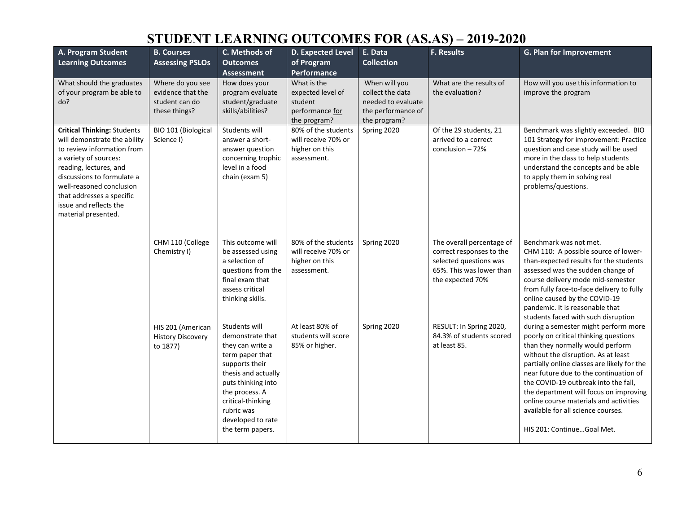| A. Program Student<br><b>Learning Outcomes</b>                                                                                                                                                                                                                                              | <b>B. Courses</b><br><b>Assessing PSLOs</b>                              | C. Methods of<br><b>Outcomes</b><br><b>Assessment</b>                                                                                                                                                                                 | D. Expected Level<br>of Program<br>Performance                                 | E. Data<br><b>Collection</b>                                                                  | F. Results                                                                                                                      | G. Plan for Improvement                                                                                                                                                                                                                                                                                                                                                                                                                           |
|---------------------------------------------------------------------------------------------------------------------------------------------------------------------------------------------------------------------------------------------------------------------------------------------|--------------------------------------------------------------------------|---------------------------------------------------------------------------------------------------------------------------------------------------------------------------------------------------------------------------------------|--------------------------------------------------------------------------------|-----------------------------------------------------------------------------------------------|---------------------------------------------------------------------------------------------------------------------------------|---------------------------------------------------------------------------------------------------------------------------------------------------------------------------------------------------------------------------------------------------------------------------------------------------------------------------------------------------------------------------------------------------------------------------------------------------|
| What should the graduates<br>of your program be able to<br>do?                                                                                                                                                                                                                              | Where do you see<br>evidence that the<br>student can do<br>these things? | How does your<br>program evaluate<br>student/graduate<br>skills/abilities?                                                                                                                                                            | What is the<br>expected level of<br>student<br>performance for<br>the program? | When will you<br>collect the data<br>needed to evaluate<br>the performance of<br>the program? | What are the results of<br>the evaluation?                                                                                      | How will you use this information to<br>improve the program                                                                                                                                                                                                                                                                                                                                                                                       |
| <b>Critical Thinking: Students</b><br>will demonstrate the ability<br>to review information from<br>a variety of sources:<br>reading, lectures, and<br>discussions to formulate a<br>well-reasoned conclusion<br>that addresses a specific<br>issue and reflects the<br>material presented. | BIO 101 (Biological<br>Science I)                                        | Students will<br>answer a short-<br>answer question<br>concerning trophic<br>level in a food<br>chain (exam 5)                                                                                                                        | 80% of the students<br>will receive 70% or<br>higher on this<br>assessment.    | Spring 2020                                                                                   | Of the 29 students, 21<br>arrived to a correct<br>conclusion $-72%$                                                             | Benchmark was slightly exceeded. BIO<br>101 Strategy for improvement: Practice<br>question and case study will be used<br>more in the class to help students<br>understand the concepts and be able<br>to apply them in solving real<br>problems/questions.                                                                                                                                                                                       |
|                                                                                                                                                                                                                                                                                             | CHM 110 (College<br>Chemistry I)                                         | This outcome will<br>be assessed using<br>a selection of<br>questions from the<br>final exam that<br>assess critical<br>thinking skills.                                                                                              | 80% of the students<br>will receive 70% or<br>higher on this<br>assessment.    | Spring 2020                                                                                   | The overall percentage of<br>correct responses to the<br>selected questions was<br>65%. This was lower than<br>the expected 70% | Benchmark was not met.<br>CHM 110: A possible source of lower-<br>than-expected results for the students<br>assessed was the sudden change of<br>course delivery mode mid-semester<br>from fully face-to-face delivery to fully<br>online caused by the COVID-19<br>pandemic. It is reasonable that<br>students faced with such disruption                                                                                                        |
|                                                                                                                                                                                                                                                                                             | HIS 201 (American<br><b>History Discovery</b><br>to 1877)                | Students will<br>demonstrate that<br>they can write a<br>term paper that<br>supports their<br>thesis and actually<br>puts thinking into<br>the process. A<br>critical-thinking<br>rubric was<br>developed to rate<br>the term papers. | At least 80% of<br>students will score<br>85% or higher.                       | Spring 2020                                                                                   | RESULT: In Spring 2020,<br>84.3% of students scored<br>at least 85.                                                             | during a semester might perform more<br>poorly on critical thinking questions<br>than they normally would perform<br>without the disruption. As at least<br>partially online classes are likely for the<br>near future due to the continuation of<br>the COVID-19 outbreak into the fall,<br>the department will focus on improving<br>online course materials and activities<br>available for all science courses.<br>HIS 201: ContinueGoal Met. |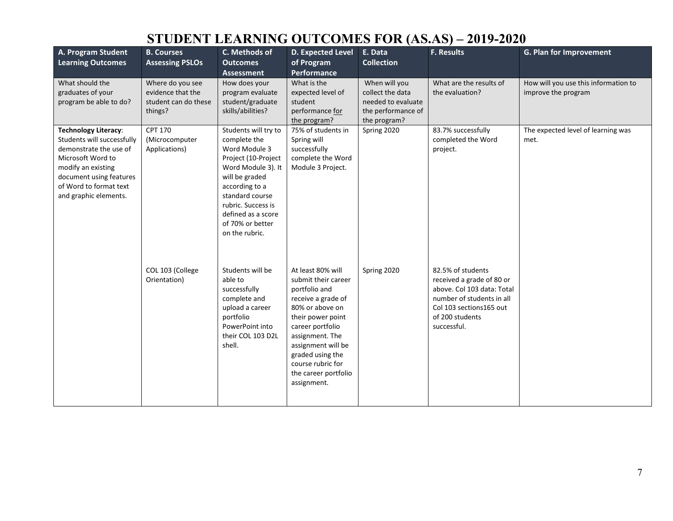| A. Program Student<br><b>Learning Outcomes</b>                                                                                                                                                               | <b>B. Courses</b><br><b>Assessing PSLOs</b>                              | C. Methods of<br><b>Outcomes</b><br><b>Assessment</b>                                                                                                                                                                                       | D. Expected Level<br>of Program<br><b>Performance</b>                                                                                                                                                                                                                | E. Data<br><b>Collection</b>                                                                  | F. Results                                                                                                                                                              | G. Plan for Improvement                                     |
|--------------------------------------------------------------------------------------------------------------------------------------------------------------------------------------------------------------|--------------------------------------------------------------------------|---------------------------------------------------------------------------------------------------------------------------------------------------------------------------------------------------------------------------------------------|----------------------------------------------------------------------------------------------------------------------------------------------------------------------------------------------------------------------------------------------------------------------|-----------------------------------------------------------------------------------------------|-------------------------------------------------------------------------------------------------------------------------------------------------------------------------|-------------------------------------------------------------|
| What should the<br>graduates of your<br>program be able to do?                                                                                                                                               | Where do you see<br>evidence that the<br>student can do these<br>things? | How does your<br>program evaluate<br>student/graduate<br>skills/abilities?                                                                                                                                                                  | What is the<br>expected level of<br>student<br>performance for<br>the program?                                                                                                                                                                                       | When will you<br>collect the data<br>needed to evaluate<br>the performance of<br>the program? | What are the results of<br>the evaluation?                                                                                                                              | How will you use this information to<br>improve the program |
| <b>Technology Literacy:</b><br>Students will successfully<br>demonstrate the use of<br>Microsoft Word to<br>modify an existing<br>document using features<br>of Word to format text<br>and graphic elements. | <b>CPT 170</b><br>(Microcomputer<br>Applications)                        | Students will try to<br>complete the<br>Word Module 3<br>Project (10-Project<br>Word Module 3). It<br>will be graded<br>according to a<br>standard course<br>rubric. Success is<br>defined as a score<br>of 70% or better<br>on the rubric. | 75% of students in<br>Spring will<br>successfully<br>complete the Word<br>Module 3 Project.                                                                                                                                                                          | Spring 2020                                                                                   | 83.7% successfully<br>completed the Word<br>project.                                                                                                                    | The expected level of learning was<br>met.                  |
|                                                                                                                                                                                                              | COL 103 (College<br>Orientation)                                         | Students will be<br>able to<br>successfully<br>complete and<br>upload a career<br>portfolio<br>PowerPoint into<br>their COL 103 D2L<br>shell.                                                                                               | At least 80% will<br>submit their career<br>portfolio and<br>receive a grade of<br>80% or above on<br>their power point<br>career portfolio<br>assignment. The<br>assignment will be<br>graded using the<br>course rubric for<br>the career portfolio<br>assignment. | Spring 2020                                                                                   | 82.5% of students<br>received a grade of 80 or<br>above. Col 103 data: Total<br>number of students in all<br>Col 103 sections 165 out<br>of 200 students<br>successful. |                                                             |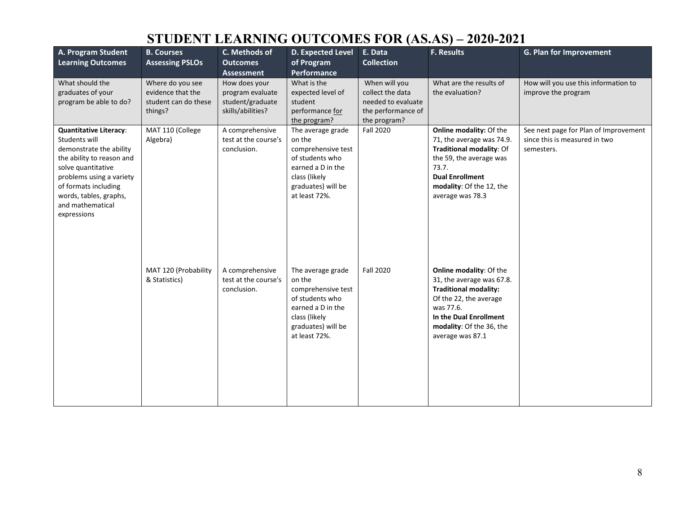| A. Program Student<br><b>Learning Outcomes</b>                                                                                                                                                                                                | <b>B. Courses</b><br><b>Assessing PSLOs</b>                              | C. Methods of<br><b>Outcomes</b><br><b>Assessment</b>                      | <b>D. Expected Level</b><br>of Program<br>Performance                                                                                             | E. Data<br><b>Collection</b>                                                                  | <b>F. Results</b>                                                                                                                                                                                            | G. Plan for Improvement                                                              |
|-----------------------------------------------------------------------------------------------------------------------------------------------------------------------------------------------------------------------------------------------|--------------------------------------------------------------------------|----------------------------------------------------------------------------|---------------------------------------------------------------------------------------------------------------------------------------------------|-----------------------------------------------------------------------------------------------|--------------------------------------------------------------------------------------------------------------------------------------------------------------------------------------------------------------|--------------------------------------------------------------------------------------|
| What should the<br>graduates of your<br>program be able to do?                                                                                                                                                                                | Where do you see<br>evidence that the<br>student can do these<br>things? | How does your<br>program evaluate<br>student/graduate<br>skills/abilities? | What is the<br>expected level of<br>student<br>performance for<br>the program?                                                                    | When will you<br>collect the data<br>needed to evaluate<br>the performance of<br>the program? | What are the results of<br>the evaluation?                                                                                                                                                                   | How will you use this information to<br>improve the program                          |
| <b>Quantitative Literacy:</b><br>Students will<br>demonstrate the ability<br>the ability to reason and<br>solve quantitative<br>problems using a variety<br>of formats including<br>words, tables, graphs,<br>and mathematical<br>expressions | MAT 110 (College<br>Algebra)                                             | A comprehensive<br>test at the course's<br>conclusion.                     | The average grade<br>on the<br>comprehensive test<br>of students who<br>earned a D in the<br>class (likely<br>graduates) will be<br>at least 72%. | <b>Fall 2020</b>                                                                              | Online modality: Of the<br>71, the average was 74.9.<br>Traditional modality: Of<br>the 59, the average was<br>73.7.<br><b>Dual Enrollment</b><br>modality: Of the 12, the<br>average was 78.3               | See next page for Plan of Improvement<br>since this is measured in two<br>semesters. |
|                                                                                                                                                                                                                                               | MAT 120 (Probability<br>& Statistics)                                    | A comprehensive<br>test at the course's<br>conclusion.                     | The average grade<br>on the<br>comprehensive test<br>of students who<br>earned a D in the<br>class (likely<br>graduates) will be<br>at least 72%. | <b>Fall 2020</b>                                                                              | <b>Online modality: Of the</b><br>31, the average was 67.8.<br><b>Traditional modality:</b><br>Of the 22, the average<br>was 77.6.<br>In the Dual Enrollment<br>modality: Of the 36, the<br>average was 87.1 |                                                                                      |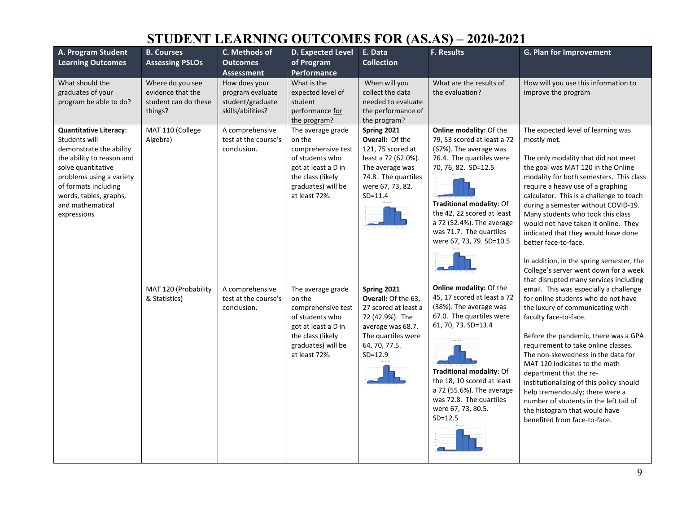| A. Program Student                                                                                                                                                                                                                            | <b>B. Courses</b>                                                                                                 | C. Methods of                                                                                                                | D. Expected Level                                                                                                                                       | E. Data                                                                                                                                                                                                                                                                           | <b>F. Results</b>                                                                                                                                                                                                                                                                                                                                                                                                                                                                                                                                                            | G. Plan for Improvement                                                                                                                                                                                                                                                                                                                                                                                                                                                                                               |
|-----------------------------------------------------------------------------------------------------------------------------------------------------------------------------------------------------------------------------------------------|-------------------------------------------------------------------------------------------------------------------|------------------------------------------------------------------------------------------------------------------------------|---------------------------------------------------------------------------------------------------------------------------------------------------------|-----------------------------------------------------------------------------------------------------------------------------------------------------------------------------------------------------------------------------------------------------------------------------------|------------------------------------------------------------------------------------------------------------------------------------------------------------------------------------------------------------------------------------------------------------------------------------------------------------------------------------------------------------------------------------------------------------------------------------------------------------------------------------------------------------------------------------------------------------------------------|-----------------------------------------------------------------------------------------------------------------------------------------------------------------------------------------------------------------------------------------------------------------------------------------------------------------------------------------------------------------------------------------------------------------------------------------------------------------------------------------------------------------------|
| <b>Learning Outcomes</b>                                                                                                                                                                                                                      | <b>Assessing PSLOs</b>                                                                                            | <b>Outcomes</b><br><b>Assessment</b>                                                                                         | of Program<br>Performance                                                                                                                               | <b>Collection</b>                                                                                                                                                                                                                                                                 |                                                                                                                                                                                                                                                                                                                                                                                                                                                                                                                                                                              |                                                                                                                                                                                                                                                                                                                                                                                                                                                                                                                       |
| What should the<br>graduates of your<br>program be able to do?                                                                                                                                                                                | Where do you see<br>evidence that the<br>student can do these<br>things?                                          | How does your<br>program evaluate<br>student/graduate<br>skills/abilities?                                                   | What is the<br>expected level of<br>student<br>performance for<br>the program?                                                                          | When will you<br>collect the data<br>needed to evaluate<br>the performance of<br>the program?                                                                                                                                                                                     | What are the results of<br>the evaluation?                                                                                                                                                                                                                                                                                                                                                                                                                                                                                                                                   | How will you use this information to<br>improve the program                                                                                                                                                                                                                                                                                                                                                                                                                                                           |
| <b>Quantitative Literacy:</b><br>Students will<br>demonstrate the ability<br>the ability to reason and<br>solve quantitative<br>problems using a variety<br>of formats including<br>words, tables, graphs,<br>and mathematical<br>expressions | MAT 110 (College<br>A comprehensive<br>Algebra)<br>test at the course's<br>on the<br>conclusion.<br>at least 72%. | The average grade<br>comprehensive test<br>of students who<br>got at least a D in<br>the class (likely<br>graduates) will be | Spring 2021<br>Overall: Of the<br>121, 75 scored at<br>least a 72 (62.0%).<br>The average was<br>74.8. The quartiles<br>were 67, 73, 82.<br>$SD = 11.4$ | Online modality: Of the<br>79, 53 scored at least a 72<br>(67%). The average was<br>76.4. The quartiles were<br>70, 76, 82. SD=12.5<br>Traditional modality: Of<br>the 42, 22 scored at least<br>a 72 (52.4%). The average<br>was 71.7. The quartiles<br>were 67, 73, 79. SD=10.5 | The expected level of learning was<br>mostly met.<br>The only modality that did not meet<br>the goal was MAT 120 in the Online<br>modality for both semesters. This class<br>require a heavy use of a graphing<br>calculator. This is a challenge to teach<br>during a semester without COVID-19.<br>Many students who took this class<br>would not have taken it online. They<br>indicated that they would have done<br>better face-to-face.<br>In addition, in the spring semester, the<br>College's server went down for a week<br>that disrupted many services including |                                                                                                                                                                                                                                                                                                                                                                                                                                                                                                                       |
|                                                                                                                                                                                                                                               | MAT 120 (Probability<br>& Statistics)                                                                             | A comprehensive<br>test at the course's<br>conclusion.                                                                       | The average grade<br>on the<br>comprehensive test<br>of students who<br>got at least a D in<br>the class (likely<br>graduates) will be<br>at least 72%. | Spring 2021<br>Overall: Of the 63,<br>27 scored at least a<br>72 (42.9%). The<br>average was 68.7.<br>The quartiles were<br>64, 70, 77.5.<br>$SD = 12.9$                                                                                                                          | Online modality: Of the<br>45, 17 scored at least a 72<br>(38%). The average was<br>67.0. The quartiles were<br>61, 70, 73. SD=13.4<br>Traditional modality: Of<br>the 18, 10 scored at least<br>a 72 (55.6%). The average<br>was 72.8. The quartiles<br>were 67, 73, 80.5.<br>$SD = 12.5$                                                                                                                                                                                                                                                                                   | email. This was especially a challenge<br>for online students who do not have<br>the luxury of communicating with<br>faculty face-to-face.<br>Before the pandemic, there was a GPA<br>requirement to take online classes.<br>The non-skewedness in the data for<br>MAT 120 indicates to the math<br>department that the re-<br>institutionalizing of this policy should<br>help tremendously; there were a<br>number of students in the left tail of<br>the histogram that would have<br>benefited from face-to-face. |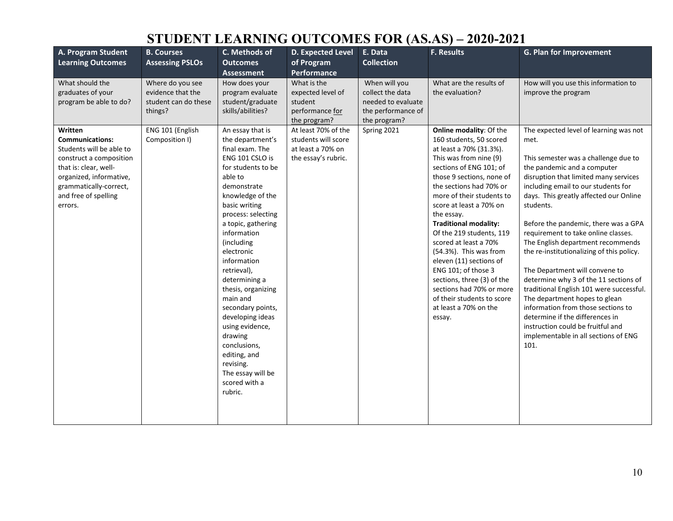| A. Program Student       | <b>B. Courses</b>      | C. Methods of                                                                                                            | <b>D. Expected Level</b> | E. Data            | <b>F. Results</b>            | G. Plan for Improvement                                                           |
|--------------------------|------------------------|--------------------------------------------------------------------------------------------------------------------------|--------------------------|--------------------|------------------------------|-----------------------------------------------------------------------------------|
| <b>Learning Outcomes</b> | <b>Assessing PSLOs</b> | <b>Outcomes</b>                                                                                                          | of Program               | <b>Collection</b>  |                              |                                                                                   |
|                          |                        | <b>Assessment</b>                                                                                                        | Performance              |                    |                              |                                                                                   |
| What should the          | Where do you see       | How does your                                                                                                            | What is the              | When will you      | What are the results of      | How will you use this information to                                              |
| graduates of your        | evidence that the      | program evaluate                                                                                                         | expected level of        | collect the data   | the evaluation?              | improve the program                                                               |
| program be able to do?   | student can do these   | student/graduate                                                                                                         | student                  | needed to evaluate |                              |                                                                                   |
|                          | things?                | skills/abilities?                                                                                                        | performance for          | the performance of |                              |                                                                                   |
|                          |                        |                                                                                                                          | the program?             | the program?       |                              |                                                                                   |
| Written                  | ENG 101 (English       | An essay that is                                                                                                         | At least 70% of the      | Spring 2021        | Online modality: Of the      | The expected level of learning was not                                            |
| <b>Communications:</b>   | Composition I)         | the department's                                                                                                         | students will score      |                    | 160 students, 50 scored      | met.                                                                              |
| Students will be able to |                        | final exam. The                                                                                                          | at least a 70% on        |                    | at least a 70% (31.3%).      |                                                                                   |
| construct a composition  |                        | ENG 101 CSLO is                                                                                                          | the essay's rubric.      |                    | This was from nine (9)       | This semester was a challenge due to                                              |
| that is: clear, well-    |                        | for students to be                                                                                                       |                          |                    | sections of ENG 101; of      | the pandemic and a computer                                                       |
| organized, informative,  |                        | able to                                                                                                                  |                          |                    | those 9 sections, none of    | disruption that limited many services                                             |
| grammatically-correct,   |                        | demonstrate                                                                                                              |                          |                    | the sections had 70% or      | including email to our students for                                               |
| and free of spelling     |                        | knowledge of the                                                                                                         |                          |                    | more of their students to    | days. This greatly affected our Online                                            |
| errors.                  |                        | basic writing                                                                                                            |                          |                    | score at least a 70% on      | students.                                                                         |
|                          |                        | process: selecting                                                                                                       |                          |                    | the essay.                   |                                                                                   |
|                          |                        | a topic, gathering                                                                                                       |                          |                    | <b>Traditional modality:</b> | Before the pandemic, there was a GPA                                              |
|                          |                        | information                                                                                                              |                          |                    | Of the 219 students, 119     | requirement to take online classes.                                               |
|                          |                        | (including                                                                                                               |                          |                    | scored at least a 70%        | The English department recommends                                                 |
|                          |                        | electronic                                                                                                               |                          |                    | (54.3%). This was from       | the re-institutionalizing of this policy.                                         |
|                          |                        | information                                                                                                              |                          |                    | eleven (11) sections of      |                                                                                   |
|                          |                        | retrieval),                                                                                                              |                          |                    | ENG 101; of those 3          | The Department will convene to                                                    |
|                          |                        | determining a                                                                                                            |                          |                    | sections, three (3) of the   | determine why 3 of the 11 sections of                                             |
|                          |                        | thesis, organizing                                                                                                       |                          |                    | sections had 70% or more     | traditional English 101 were successful.                                          |
|                          |                        | main and                                                                                                                 |                          |                    | of their students to score   | The department hopes to glean                                                     |
|                          |                        | secondary points,                                                                                                        |                          |                    | at least a 70% on the        | information from those sections to                                                |
|                          |                        | developing ideas                                                                                                         |                          |                    | essay.                       | determine if the differences in                                                   |
|                          |                        |                                                                                                                          |                          |                    |                              |                                                                                   |
|                          |                        |                                                                                                                          |                          |                    |                              |                                                                                   |
|                          |                        |                                                                                                                          |                          |                    |                              |                                                                                   |
|                          |                        |                                                                                                                          |                          |                    |                              |                                                                                   |
|                          |                        |                                                                                                                          |                          |                    |                              |                                                                                   |
|                          |                        |                                                                                                                          |                          |                    |                              |                                                                                   |
|                          |                        |                                                                                                                          |                          |                    |                              |                                                                                   |
|                          |                        |                                                                                                                          |                          |                    |                              |                                                                                   |
|                          |                        |                                                                                                                          |                          |                    |                              |                                                                                   |
|                          |                        |                                                                                                                          |                          |                    |                              |                                                                                   |
|                          |                        | using evidence,<br>drawing<br>conclusions,<br>editing, and<br>revising.<br>The essay will be<br>scored with a<br>rubric. |                          |                    |                              | instruction could be fruitful and<br>implementable in all sections of ENG<br>101. |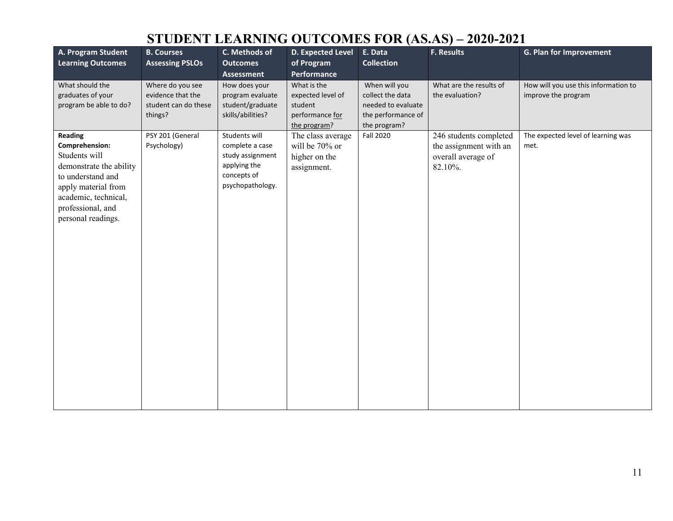| A. Program Student<br><b>Learning Outcomes</b>                                                                                                                                       | <b>B. Courses</b><br><b>Assessing PSLOs</b>                              | C. Methods of<br><b>Outcomes</b><br><b>Assessment</b>                                                   | D. Expected Level<br>of Program<br>Performance                                 | E. Data<br><b>Collection</b>                                                                  | F. Results                                                                        | G. Plan for Improvement                                     |
|--------------------------------------------------------------------------------------------------------------------------------------------------------------------------------------|--------------------------------------------------------------------------|---------------------------------------------------------------------------------------------------------|--------------------------------------------------------------------------------|-----------------------------------------------------------------------------------------------|-----------------------------------------------------------------------------------|-------------------------------------------------------------|
| What should the<br>graduates of your<br>program be able to do?                                                                                                                       | Where do you see<br>evidence that the<br>student can do these<br>things? | How does your<br>program evaluate<br>student/graduate<br>skills/abilities?                              | What is the<br>expected level of<br>student<br>performance for<br>the program? | When will you<br>collect the data<br>needed to evaluate<br>the performance of<br>the program? | What are the results of<br>the evaluation?                                        | How will you use this information to<br>improve the program |
| Reading<br>Comprehension:<br>Students will<br>demonstrate the ability<br>to understand and<br>apply material from<br>academic, technical,<br>professional, and<br>personal readings. | PSY 201 (General<br>Psychology)                                          | Students will<br>complete a case<br>study assignment<br>applying the<br>concepts of<br>psychopathology. | The class average<br>will be 70% or<br>higher on the<br>assignment.            | <b>Fall 2020</b>                                                                              | 246 students completed<br>the assignment with an<br>overall average of<br>82.10%. | The expected level of learning was<br>met.                  |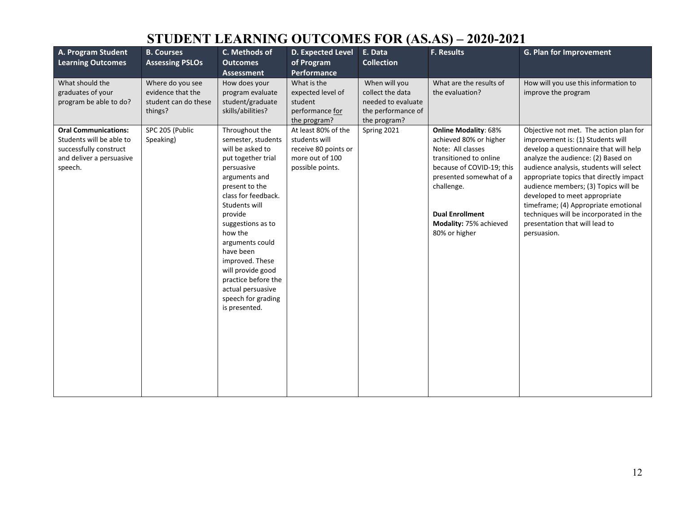| A. Program Student<br><b>Learning Outcomes</b>                                                                           | <b>B. Courses</b><br><b>Assessing PSLOs</b>                              | C. Methods of<br><b>Outcomes</b><br><b>Assessment</b>                                                                                                                                                                                                                                                                                                                         | <b>D. Expected Level</b><br>of Program<br>Performance                                               | E. Data<br><b>Collection</b>                                                                  | <b>F. Results</b>                                                                                                                                                                                                                               | G. Plan for Improvement                                                                                                                                                                                                                                                                                                                                                                                                                                       |
|--------------------------------------------------------------------------------------------------------------------------|--------------------------------------------------------------------------|-------------------------------------------------------------------------------------------------------------------------------------------------------------------------------------------------------------------------------------------------------------------------------------------------------------------------------------------------------------------------------|-----------------------------------------------------------------------------------------------------|-----------------------------------------------------------------------------------------------|-------------------------------------------------------------------------------------------------------------------------------------------------------------------------------------------------------------------------------------------------|---------------------------------------------------------------------------------------------------------------------------------------------------------------------------------------------------------------------------------------------------------------------------------------------------------------------------------------------------------------------------------------------------------------------------------------------------------------|
| What should the<br>graduates of your<br>program be able to do?                                                           | Where do you see<br>evidence that the<br>student can do these<br>things? | How does your<br>program evaluate<br>student/graduate<br>skills/abilities?                                                                                                                                                                                                                                                                                                    | What is the<br>expected level of<br>student<br>performance for<br>the program?                      | When will you<br>collect the data<br>needed to evaluate<br>the performance of<br>the program? | What are the results of<br>the evaluation?                                                                                                                                                                                                      | How will you use this information to<br>improve the program                                                                                                                                                                                                                                                                                                                                                                                                   |
| <b>Oral Communications:</b><br>Students will be able to<br>successfully construct<br>and deliver a persuasive<br>speech. | SPC 205 (Public<br>Speaking)                                             | Throughout the<br>semester, students<br>will be asked to<br>put together trial<br>persuasive<br>arguments and<br>present to the<br>class for feedback.<br>Students will<br>provide<br>suggestions as to<br>how the<br>arguments could<br>have been<br>improved. These<br>will provide good<br>practice before the<br>actual persuasive<br>speech for grading<br>is presented. | At least 80% of the<br>students will<br>receive 80 points or<br>more out of 100<br>possible points. | Spring 2021                                                                                   | <b>Online Modality: 68%</b><br>achieved 80% or higher<br>Note: All classes<br>transitioned to online<br>because of COVID-19; this<br>presented somewhat of a<br>challenge.<br><b>Dual Enrollment</b><br>Modality: 75% achieved<br>80% or higher | Objective not met. The action plan for<br>improvement is: (1) Students will<br>develop a questionnaire that will help<br>analyze the audience: (2) Based on<br>audience analysis, students will select<br>appropriate topics that directly impact<br>audience members; (3) Topics will be<br>developed to meet appropriate<br>timeframe; (4) Appropriate emotional<br>techniques will be incorporated in the<br>presentation that will lead to<br>persuasion. |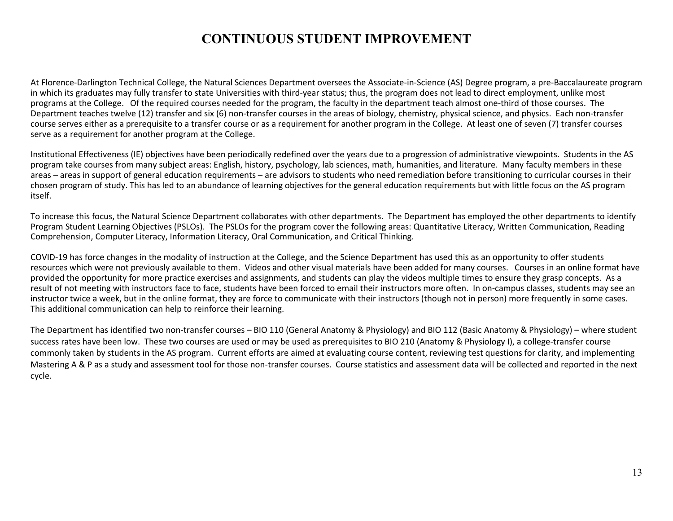#### **CONTINUOUS STUDENT IMPROVEMENT**

At Florence-Darlington Technical College, the Natural Sciences Department oversees the Associate-in-Science (AS) Degree program, a pre-Baccalaureate program in which its graduates may fully transfer to state Universities with third-year status; thus, the program does not lead to direct employment, unlike most programs at the College. Of the required courses needed for the program, the faculty in the department teach almost one-third of those courses. The Department teaches twelve (12) transfer and six (6) non-transfer courses in the areas of biology, chemistry, physical science, and physics. Each non-transfer course serves either as a prerequisite to a transfer course or as a requirement for another program in the College. At least one of seven (7) transfer courses serve as a requirement for another program at the College.

Institutional Effectiveness (IE) objectives have been periodically redefined over the years due to a progression of administrative viewpoints. Students in the AS program take courses from many subject areas: English, history, psychology, lab sciences, math, humanities, and literature. Many faculty members in these areas – areas in support of general education requirements – are advisors to students who need remediation before transitioning to curricular courses in their chosen program of study. This has led to an abundance of learning objectives for the general education requirements but with little focus on the AS program itself.

To increase this focus, the Natural Science Department collaborates with other departments. The Department has employed the other departments to identify Program Student Learning Objectives (PSLOs). The PSLOs for the program cover the following areas: Quantitative Literacy, Written Communication, Reading Comprehension, Computer Literacy, Information Literacy, Oral Communication, and Critical Thinking.

COVID-19 has force changes in the modality of instruction at the College, and the Science Department has used this as an opportunity to offer students resources which were not previously available to them. Videos and other visual materials have been added for many courses. Courses in an online format have provided the opportunity for more practice exercises and assignments, and students can play the videos multiple times to ensure they grasp concepts. As a result of not meeting with instructors face to face, students have been forced to email their instructors more often. In on-campus classes, students may see an instructor twice a week, but in the online format, they are force to communicate with their instructors (though not in person) more frequently in some cases. This additional communication can help to reinforce their learning.

The Department has identified two non-transfer courses – BIO 110 (General Anatomy & Physiology) and BIO 112 (Basic Anatomy & Physiology) – where student success rates have been low. These two courses are used or may be used as prerequisites to BIO 210 (Anatomy & Physiology I), a college-transfer course commonly taken by students in the AS program. Current efforts are aimed at evaluating course content, reviewing test questions for clarity, and implementing Mastering A & P as a study and assessment tool for those non-transfer courses. Course statistics and assessment data will be collected and reported in the next cycle.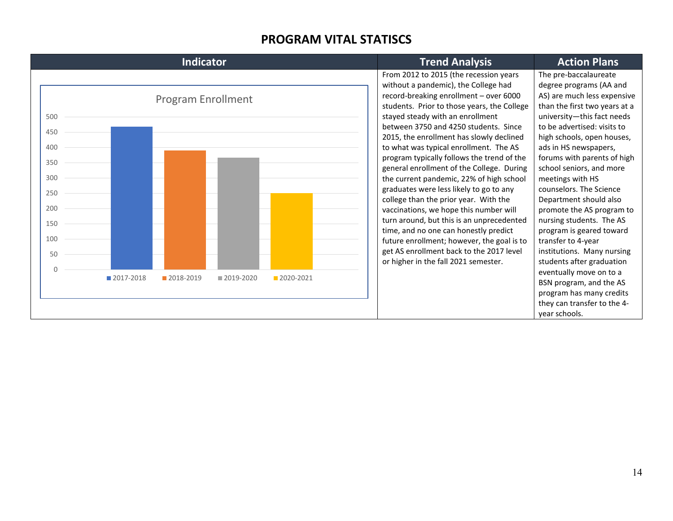#### **PROGRAM VITAL STATISCS**

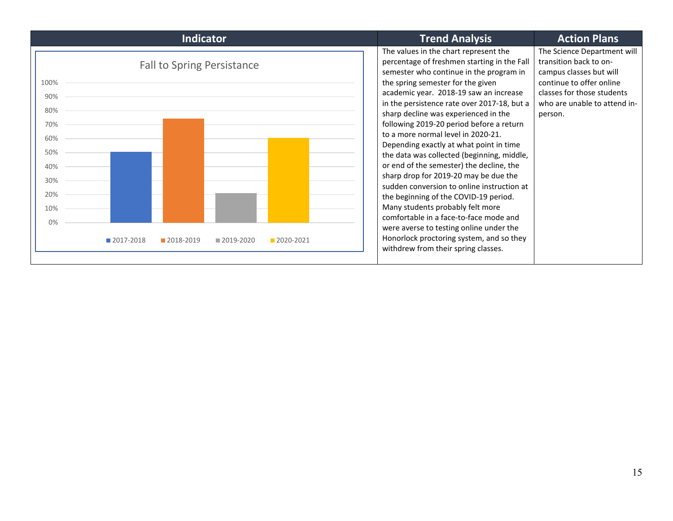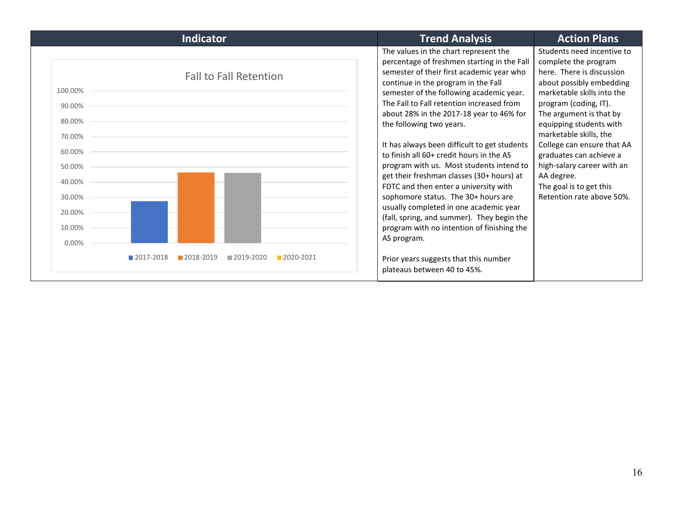| <b>Indicator</b>                                                                                                                               | <b>Trend Analysis</b>                                                                                                                                                                                                                                                                                                                                                                                                                                                                                                                                                                                                                                                                                                                                               | <b>Action Plans</b>                                                                                                                                                                                                                                                                                                                                                                                             |
|------------------------------------------------------------------------------------------------------------------------------------------------|---------------------------------------------------------------------------------------------------------------------------------------------------------------------------------------------------------------------------------------------------------------------------------------------------------------------------------------------------------------------------------------------------------------------------------------------------------------------------------------------------------------------------------------------------------------------------------------------------------------------------------------------------------------------------------------------------------------------------------------------------------------------|-----------------------------------------------------------------------------------------------------------------------------------------------------------------------------------------------------------------------------------------------------------------------------------------------------------------------------------------------------------------------------------------------------------------|
| <b>Fall to Fall Retention</b><br>100.00%<br>90.00%<br>80.00%<br>70.00%<br>60.00%<br>50.00%<br>40.00%<br>30.00%<br>20.00%<br>10.00%<br>$0.00\%$ | The values in the chart represent the<br>percentage of freshmen starting in the Fall<br>semester of their first academic year who<br>continue in the program in the Fall<br>semester of the following academic year.<br>The Fall to Fall retention increased from<br>about 28% in the 2017-18 year to 46% for<br>the following two years.<br>It has always been difficult to get students<br>to finish all 60+ credit hours in the AS<br>program with us. Most students intend to<br>get their freshman classes (30+ hours) at<br>FDTC and then enter a university with<br>sophomore status. The 30+ hours are<br>usually completed in one academic year<br>(fall, spring, and summer). They begin the<br>program with no intention of finishing the<br>AS program. | Students need incentive to<br>complete the program<br>here. There is discussion<br>about possibly embedding<br>marketable skills into the<br>program (coding, IT).<br>The argument is that by<br>equipping students with<br>marketable skills, the<br>College can ensure that AA<br>graduates can achieve a<br>high-salary career with an<br>AA degree.<br>The goal is to get this<br>Retention rate above 50%. |
| 2017-2018<br>2018-2019<br>■ 2019-2020<br>2020-2021                                                                                             | Prior years suggests that this number<br>plateaus between 40 to 45%.                                                                                                                                                                                                                                                                                                                                                                                                                                                                                                                                                                                                                                                                                                |                                                                                                                                                                                                                                                                                                                                                                                                                 |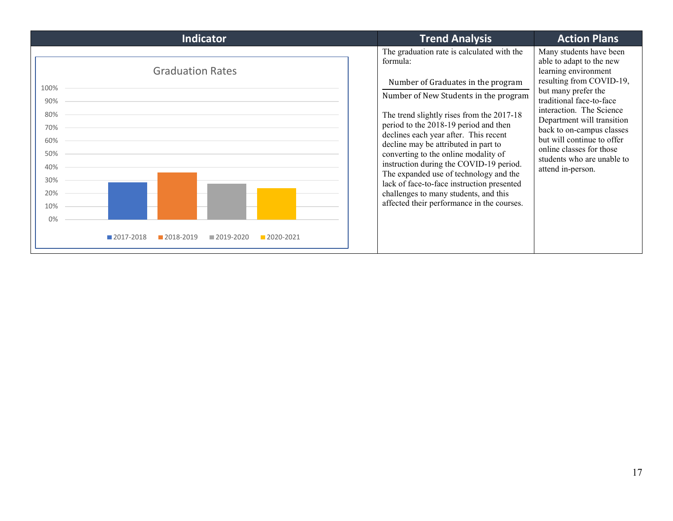| The graduation rate is calculated with the<br>Many students have been<br>able to adapt to the new<br>formula:<br><b>Graduation Rates</b><br>learning environment<br>resulting from COVID-19,<br>Number of Graduates in the program<br>100%<br>but many prefer the<br>Number of New Students in the program<br>traditional face-to-face<br>90%<br>interaction. The Science<br>80%<br>The trend slightly rises from the 2017-18<br>Department will transition<br>period to the 2018-19 period and then<br>70%<br>back to on-campus classes<br>declines each year after. This recent<br>but will continue to offer<br>60%<br>decline may be attributed in part to<br>online classes for those<br>converting to the online modality of<br>50%<br>students who are unable to<br>instruction during the COVID-19 period.<br>40%<br>attend in-person.<br>The expanded use of technology and the<br>30%<br>lack of face-to-face instruction presented<br>challenges to many students, and this<br>20%<br>affected their performance in the courses.<br>10%<br>0%<br>2017-2018<br>2018-2019<br>2019-2020<br>$2020 - 2021$ |
|------------------------------------------------------------------------------------------------------------------------------------------------------------------------------------------------------------------------------------------------------------------------------------------------------------------------------------------------------------------------------------------------------------------------------------------------------------------------------------------------------------------------------------------------------------------------------------------------------------------------------------------------------------------------------------------------------------------------------------------------------------------------------------------------------------------------------------------------------------------------------------------------------------------------------------------------------------------------------------------------------------------------------------------------------------------------------------------------------------------|
|                                                                                                                                                                                                                                                                                                                                                                                                                                                                                                                                                                                                                                                                                                                                                                                                                                                                                                                                                                                                                                                                                                                  |